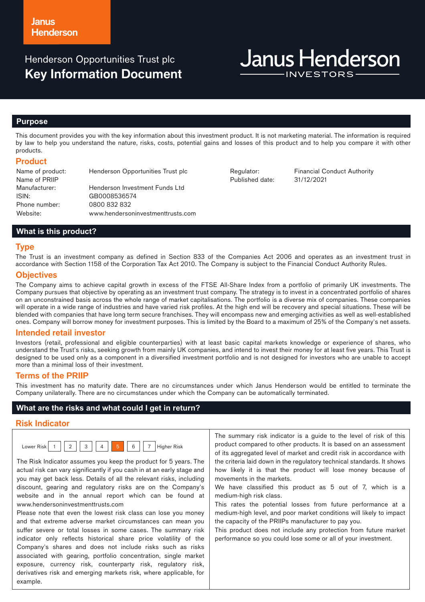Henderson Opportunities Trust plc **Key Information Document**

# **Janus Henderson**

#### **Purpose**

This document provides you with the key information about this investment product. It is not marketing material. The information is required by law to help you understand the nature, risks, costs, potential gains and losses of this product and to help you compare it with other products.

## **Product**

Name of product: Henderson Opportunities Trust plc Regulator: Financial Conduct Authority Name of PRIIP Manufacturer: Henderson Investment Funds Ltd ISIN: GB0008536574 Phone number: 0800 832 832 Website: www.hendersoninvestmenttrusts.com

Published date: 31/12/2021

# **What is this product?**

#### **Type**

The Trust is an investment company as defined in Section 833 of the Companies Act 2006 and operates as an investment trust in accordance with Section 1158 of the Corporation Tax Act 2010. The Company is subject to the Financial Conduct Authority Rules.

#### **Objectives**

The Company aims to achieve capital growth in excess of the FTSE All-Share Index from a portfolio of primarily UK investments. The Company pursues that objective by operating as an investment trust company. The strategy is to invest in a concentrated portfolio of shares on an unconstrained basis across the whole range of market capitalisations. The portfolio is a diverse mix of companies. These companies will operate in a wide range of industries and have varied risk profiles. At the high end will be recovery and special situations. These will be blended with companies that have long term secure franchises. They will encompass new and emerging activities as well as well-established ones. Company will borrow money for investment purposes. This is limited by the Board to a maximum of 25% of the Company's net assets.

#### **Intended retail investor**

Investors (retail, professional and eligible counterparties) with at least basic capital markets knowledge or experience of shares, who understand the Trust's risks, seeking growth from mainly UK companies, and intend to invest their money for at least five years. This Trust is designed to be used only as a component in a diversified investment portfolio and is not designed for investors who are unable to accept more than a minimal loss of their investment.

#### **Terms of the PRIIP**

This investment has no maturity date. There are no circumstances under which Janus Henderson would be entitled to terminate the Company unilaterally. There are no circumstances under which the Company can be automatically terminated.

#### **What are the risks and what could I get in return?**

# **Risk Indicator**

| , OWP* |  | っ | 3 |  |  | ĥ |  | Risk<br>$\sim$ |
|--------|--|---|---|--|--|---|--|----------------|
|--------|--|---|---|--|--|---|--|----------------|

The Risk Indicator assumes you keep the product for 5 years. The actual risk can vary significantly if you cash in at an early stage and you may get back less. Details of all the relevant risks, including discount, gearing and regulatory risks are on the Company's website and in the annual report which can be found at www.hendersoninvestmenttrusts.com

Please note that even the lowest risk class can lose you money and that extreme adverse market circumstances can mean you suffer severe or total losses in some cases. The summary risk indicator only reflects historical share price volatility of the Company's shares and does not include risks such as risks associated with gearing, portfolio concentration, single market exposure, currency risk, counterparty risk, regulatory risk, derivatives risk and emerging markets risk, where applicable, for example.

The summary risk indicator is a guide to the level of risk of this product compared to other products. It is based on an assessment of its aggregated level of market and credit risk in accordance with the criteria laid down in the regulatory technical standards. It shows how likely it is that the product will lose money because of movements in the markets.

We have classified this product as 5 out of 7, which is a medium-high risk class.

This rates the potential losses from future performance at a medium-high level, and poor market conditions will likely to impact the capacity of the PRIIPs manufacturer to pay you.

This product does not include any protection from future market performance so you could lose some or all of your investment.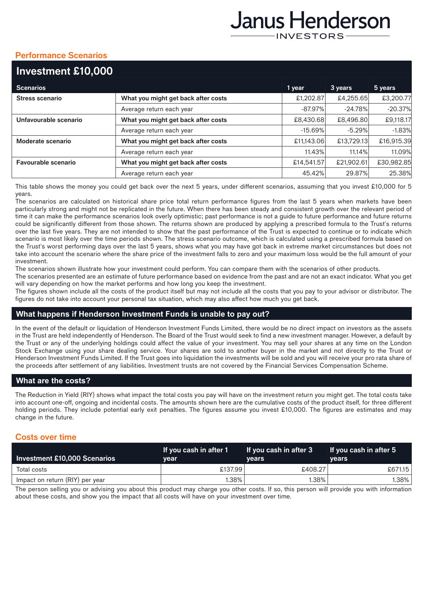# Janus Henderson **INVESTORS**

# **Performance Scenarios**

| Investment £10,000     |                                     |            |            |            |
|------------------------|-------------------------------------|------------|------------|------------|
| <b>Scenarios</b>       |                                     | 1 year     | 3 years    | 5 years    |
| <b>Stress scenario</b> | What you might get back after costs | £1,202.87  | £4,255.65  | £3,200.77  |
|                        | Average return each year            | $-87.97%$  | $-24.78%$  | $-20.37%$  |
| Unfavourable scenario  | What you might get back after costs | £8,430.68  | £8,496.80  | £9,118.17  |
|                        | Average return each year            | $-15.69%$  | $-5.29%$   | $-1.83%$   |
| Moderate scenario      | What you might get back after costs | £11,143.06 | £13,729.13 | £16,915.39 |
|                        | Average return each year            | 11.43%     | 11.14%     | 11.09%     |
| Favourable scenario    | What you might get back after costs | £14,541.57 | £21,902.61 | £30,982.85 |
|                        | Average return each year            | 45.42%     | 29.87%     | 25.38%     |

This table shows the money you could get back over the next 5 years, under different scenarios, assuming that you invest £10,000 for 5 years.

The scenarios are calculated on historical share price total return performance figures from the last 5 years when markets have been particularly strong and might not be replicated in the future. When there has been steady and consistent growth over the relevant period of time it can make the performance scenarios look overly optimistic; past performance is not a guide to future performance and future returns could be significantly different from those shown. The returns shown are produced by applying a prescribed formula to the Trust's returns over the last five years. They are not intended to show that the past performance of the Trust is expected to continue or to indicate which scenario is most likely over the time periods shown. The stress scenario outcome, which is calculated using a prescribed formula based on the Trust's worst performing days over the last 5 years, shows what you may have got back in extreme market circumstances but does not take into account the scenario where the share price of the investment falls to zero and your maximum loss would be the full amount of your investment.

The scenarios shown illustrate how your investment could perform. You can compare them with the scenarios of other products.

The scenarios presented are an estimate of future performance based on evidence from the past and are not an exact indicator. What you get will vary depending on how the market performs and how long you keep the investment.

The figures shown include all the costs of the product itself but may not include all the costs that you pay to your advisor or distributor. The figures do not take into account your personal tax situation, which may also affect how much you get back.

# **What happens if Henderson Investment Funds is unable to pay out?**

In the event of the default or liquidation of Henderson Investment Funds Limited, there would be no direct impact on investors as the assets in the Trust are held independently of Henderson. The Board of the Trust would seek to find a new investment manager. However, a default by the Trust or any of the underlying holdings could affect the value of your investment. You may sell your shares at any time on the London Stock Exchange using your share dealing service. Your shares are sold to another buyer in the market and not directly to the Trust or Henderson Investment Funds Limited. If the Trust goes into liquidation the investments will be sold and you will receive your pro rata share of the proceeds after settlement of any liabilities. Investment trusts are not covered by the Financial Services Compensation Scheme.

# **What are the costs?**

The Reduction in Yield (RIY) shows what impact the total costs you pay will have on the investment return you might get. The total costs take into account one-off, ongoing and incidental costs. The amounts shown here are the cumulative costs of the product itself, for three different holding periods. They include potential early exit penalties. The figures assume you invest £10,000. The figures are estimates and may change in the future.

# **Costs over time**

| Investment £10,000 Scenarios    | If you cash in after 1<br>vear | If you cash in after 3<br><b>vears</b> | <b>If you cash in after 5</b><br><b>vears</b> |
|---------------------------------|--------------------------------|----------------------------------------|-----------------------------------------------|
| Total costs                     | £137.99                        | £408.27                                | £671.15                                       |
| Impact on return (RIY) per year | $1.38\%$                       | $1.38\%$                               | $1.38\%$                                      |

The person selling you or advising you about this product may charge you other costs. If so, this person will provide you with information about these costs, and show you the impact that all costs will have on your investment over time.